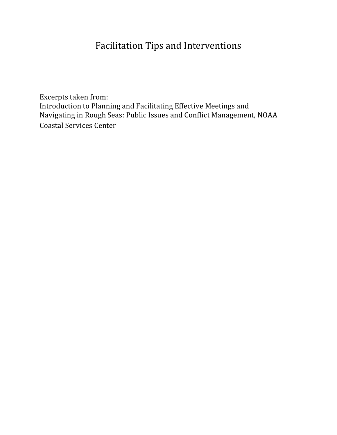## Facilitation Tips and Interventions

Excerpts taken from: Introduction to Planning and Facilitating Effective Meetings and Navigating in Rough Seas: Public Issues and Conflict Management, NOAA Coastal Services Center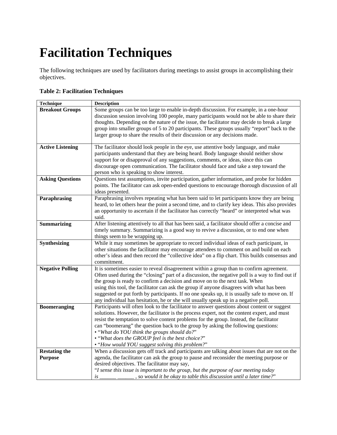# **Facilitation Techniques**

The following techniques are used by facilitators during meetings to assist groups in accomplishing their objectives.

| <b>Table 2: Facilitation Techniques</b> |  |
|-----------------------------------------|--|
|-----------------------------------------|--|

| <b>Technique</b>        | <b>Description</b>                                                                              |
|-------------------------|-------------------------------------------------------------------------------------------------|
| <b>Breakout Groups</b>  | Some groups can be too large to enable in-depth discussion. For example, in a one-hour          |
|                         | discussion session involving 100 people, many participants would not be able to share their     |
|                         | thoughts. Depending on the nature of the issue, the facilitator may decide to break a large     |
|                         | group into smaller groups of 5 to 20 participants. These groups usually "report" back to the    |
|                         | larger group to share the results of their discussion or any decisions made.                    |
|                         |                                                                                                 |
| <b>Active Listening</b> | The facilitator should look people in the eye, use attentive body language, and make            |
|                         | participants understand that they are being heard. Body language should neither show            |
|                         | support for or disapproval of any suggestions, comments, or ideas, since this can               |
|                         | discourage open communication. The facilitator should face and take a step toward the           |
|                         | person who is speaking to show interest.                                                        |
| <b>Asking Questions</b> | Questions test assumptions, invite participation, gather information, and probe for hidden      |
|                         | points. The facilitator can ask open-ended questions to encourage thorough discussion of all    |
|                         | ideas presented.                                                                                |
| Paraphrasing            | Paraphrasing involves repeating what has been said to let participants know they are being      |
|                         | heard, to let others hear the point a second time, and to clarify key ideas. This also provides |
|                         | an opportunity to ascertain if the facilitator has correctly "heard" or interpreted what was    |
|                         | said.                                                                                           |
| <b>Summarizing</b>      | After listening attentively to all that has been said, a facilitator should offer a concise and |
|                         | timely summary. Summarizing is a good way to revive a discussion, or to end one when            |
|                         | things seem to be wrapping up.                                                                  |
| Synthesizing            | While it may sometimes be appropriate to record individual ideas of each participant, in        |
|                         | other situations the facilitator may encourage attendees to comment on and build on each        |
|                         | other's ideas and then record the "collective idea" on a flip chart. This builds consensus and  |
|                         | commitment.                                                                                     |
| <b>Negative Polling</b> | It is sometimes easier to reveal disagreement within a group than to confirm agreement.         |
|                         | Often used during the "closing" part of a discussion, the negative poll is a way to find out if |
|                         | the group is ready to confirm a decision and move on to the next task. When                     |
|                         | using this tool, the facilitator can ask the group if anyone disagrees with what has been       |
|                         | suggested or put forth by participants. If no one speaks up, it is usually safe to move on. If  |
|                         | any individual has hesitation, he or she will usually speak up in a negative poll.              |
| <b>Boomeranging</b>     | Participants will often look to the facilitator to answer questions about content or suggest    |
|                         | solutions. However, the facilitator is the process expert, not the content expert, and must     |
|                         | resist the temptation to solve content problems for the group. Instead, the facilitator         |
|                         | can "boomerang" the question back to the group by asking the following questions:               |
|                         | • "What do YOU think the groups should do?"                                                     |
|                         | • "What does the GROUP feel is the best choice?"                                                |
|                         | • "How would YOU suggest solving this problem?"                                                 |
| <b>Restating the</b>    | When a discussion gets off track and participants are talking about issues that are not on the  |
| <b>Purpose</b>          | agenda, the facilitator can ask the group to pause and reconsider the meeting purpose or        |
|                         | desired objectives. The facilitator may say,                                                    |
|                         | "I sense this issue is important to the group, but the purpose of our meeting today             |
|                         | ____, so would it be okay to table this discussion until a later time?"<br>is                   |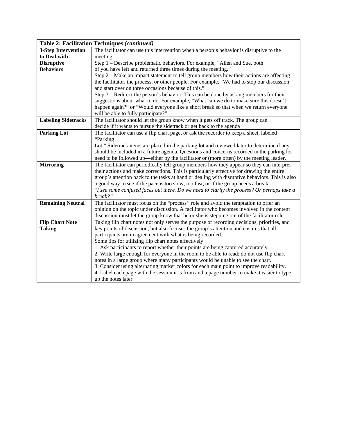| <b>Table 2: Facilitation Techniques (continued)</b> |                                                                                                |  |
|-----------------------------------------------------|------------------------------------------------------------------------------------------------|--|
| <b>3-Step Intervention</b>                          | The facilitator can use this intervention when a person's behavior is disruptive to the        |  |
| to Deal with                                        | meeting.                                                                                       |  |
| <b>Disruptive</b>                                   | Step 1 – Describe problematic behaviors. For example, "Allen and Sue, both                     |  |
| <b>Behaviors</b>                                    | of you have left and returned three times during the meeting."                                 |  |
|                                                     | Step 2 – Make an impact statement to tell group members how their actions are affecting        |  |
|                                                     | the facilitator, the process, or other people. For example, "We had to stop our discussion     |  |
|                                                     | and start over on three occasions because of this."                                            |  |
|                                                     | Step 3 – Redirect the person's behavior. This can be done by asking members for their          |  |
|                                                     | suggestions about what to do. For example, "What can we do to make sure this doesn't           |  |
|                                                     | happen again?" or "Would everyone like a short break so that when we return everyone           |  |
|                                                     | will be able to fully participate?"                                                            |  |
| <b>Labeling Sidetracks</b>                          | The facilitator should let the group know when it gets off track. The group can                |  |
|                                                     | decide if it wants to pursue the sidetrack or get back to the agenda                           |  |
| <b>Parking Lot</b>                                  | The facilitator can use a flip chart page, or ask the recorder to keep a sheet, labeled        |  |
|                                                     | "Parking                                                                                       |  |
|                                                     | Lot." Sidetrack items are placed in the parking lot and reviewed later to determine if any     |  |
|                                                     | should be included in a future agenda. Questions and concerns recorded in the parking lot      |  |
|                                                     | need to be followed up—either by the facilitator or (more often) by the meeting leader.        |  |
| <b>Mirroring</b>                                    | The facilitator can periodically tell group members how they appear so they can interpret      |  |
|                                                     | their actions and make corrections. This is particularly effective for drawing the entire      |  |
|                                                     | group's attention back to the tasks at hand or dealing with disruptive behaviors. This is also |  |
|                                                     | a good way to see if the pace is too slow, too fast, or if the group needs a break.            |  |
|                                                     | "I see some confused faces out there. Do we need to clarify the process? Or perhaps take a     |  |
|                                                     | break?"                                                                                        |  |
| <b>Remaining Neutral</b>                            | The facilitator must focus on the "process" role and avoid the temptation to offer an          |  |
|                                                     | opinion on the topic under discussion. A facilitator who becomes involved in the content       |  |
|                                                     | discussion must let the group know that he or she is stepping out of the facilitator role.     |  |
| <b>Flip Chart Note</b>                              | Taking flip chart notes not only serves the purpose of recording decisions, priorities, and    |  |
| <b>Taking</b>                                       | key points of discussion, but also focuses the group's attention and ensures that all          |  |
|                                                     | participants are in agreement with what is being recorded.                                     |  |
|                                                     | Some tips for utilizing flip chart notes effectively:                                          |  |
|                                                     | 1. Ask participants to report whether their points are being captured accurately.              |  |
|                                                     | 2. Write large enough for everyone in the room to be able to read; do not use flip chart       |  |
|                                                     | notes in a large group where many participants would be unable to see the chart.               |  |
|                                                     | 3. Consider using alternating marker colors for each main point to improve readability.        |  |
|                                                     | 4. Label each page with the session it is from and a page number to make it easier to type     |  |
|                                                     | up the notes later.                                                                            |  |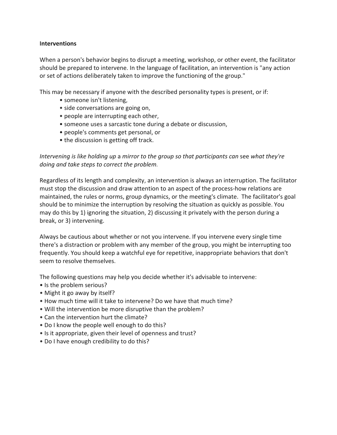### **Interventions**

When a person's behavior begins to disrupt a meeting, workshop, or other event, the facilitator should be prepared to intervene. In the language of facilitation, an intervention is "any action or set of actions deliberately taken to improve the functioning of the group."

This may be necessary if anyone with the described personality types is present, or if:

- someone isn't listening,
- side conversations are going on,
- people are interrupting each other,
- someone uses a sarcastic tone during a debate or discussion,
- people's comments get personal, or
- the discussion is getting off track.

*Intervening is like holding up* a *mirror to the group so that participants can* see *what they're doing and take steps to correct the problem.*

Regardless of its length and complexity, an intervention is always an interruption. The facilitator must stop the discussion and draw attention to an aspect of the process-how relations are maintained, the rules or norms, group dynamics, or the meeting's climate. The facilitator's goal should be to minimize the interruption by resolving the situation as quickly as possible. You may do this by 1) ignoring the situation, 2) discussing it privately with the person during a break, or 3) intervening.

Always be cautious about whether or not you intervene. If you intervene every single time there's a distraction or problem with any member of the group, you might be interrupting too frequently. You should keep a watchful eye for repetitive, inappropriate behaviors that don't seem to resolve themselves.

The following questions may help you decide whether it's advisable to intervene:

- Is the problem serious?
- Might it go away by itself?
- How much time will it take to intervene? Do we have that much time?
- Will the intervention be more disruptive than the problem?
- Can the intervention hurt the climate?
- Do I know the people well enough to do this?
- Is it appropriate, given their level of openness and trust?
- Do I have enough credibility to do this?